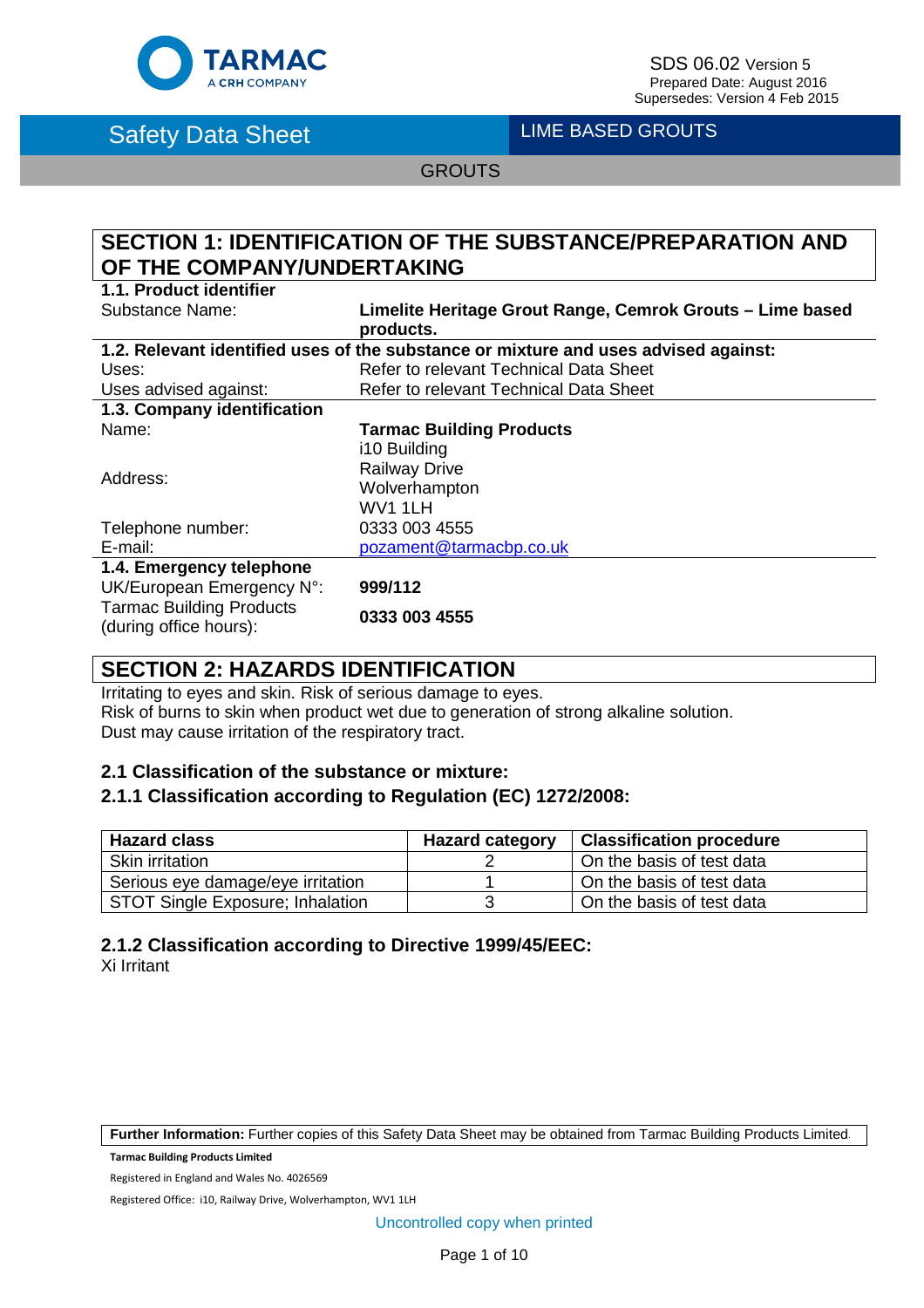

 $\mathsf{FARMAC}$  SDS 06.02 Version 5<br>A CRH COMPANY Prepared Date: August 2016 Supersedes: Version 4 Feb 2015

Safety Data Sheet **Lime BASED GROUTS** 

**GROUTS** 

# **SECTION 1: IDENTIFICATION OF THE SUBSTANCE/PREPARATION AND OF THE COMPANY/UNDERTAKING**

**1.1. Product identifier**

**Limelite Heritage Grout Range, Cemrok Grouts – Lime based products.**

| 1.2. Relevant identified uses of the substance or mixture and uses advised against: |                                        |  |
|-------------------------------------------------------------------------------------|----------------------------------------|--|
| Uses:                                                                               | Refer to relevant Technical Data Sheet |  |
| Uses advised against:                                                               | Refer to relevant Technical Data Sheet |  |
| 1.3. Company identification                                                         |                                        |  |
| Name:                                                                               | <b>Tarmac Building Products</b>        |  |
|                                                                                     | i10 Building                           |  |
| Address:                                                                            | <b>Railway Drive</b>                   |  |
|                                                                                     | Wolverhampton                          |  |
|                                                                                     | WV1 1LH                                |  |
| Telephone number:                                                                   | 0333 003 4555                          |  |
| E-mail:                                                                             | pozament@tarmacbp.co.uk                |  |
| 1.4. Emergency telephone                                                            |                                        |  |
| UK/European Emergency N°:                                                           | 999/112                                |  |
| <b>Tarmac Building Products</b><br>(during office hours):                           | 0333 003 4555                          |  |

# **SECTION 2: HAZARDS IDENTIFICATION**

Irritating to eyes and skin. Risk of serious damage to eyes. Risk of burns to skin when product wet due to generation of strong alkaline solution. Dust may cause irritation of the respiratory tract.

#### **2.1 Classification of the substance or mixture:**

#### **2.1.1 Classification according to Regulation (EC) 1272/2008:**

| <b>Hazard class</b>                     | <b>Hazard category</b> | <b>Classification procedure</b> |
|-----------------------------------------|------------------------|---------------------------------|
| <b>Skin irritation</b>                  |                        | On the basis of test data       |
| Serious eye damage/eye irritation       |                        | On the basis of test data       |
| <b>STOT Single Exposure; Inhalation</b> |                        | On the basis of test data       |

#### **2.1.2 Classification according to Directive 1999/45/EEC:**

Xi Irritant

**Further Information:** Further copies of this Safety Data Sheet may be obtained from Tarmac Building Products Limited.

**Tarmac Building Products Limited**

Registered in England and Wales No. 4026569

Registered Office: i10, Railway Drive, Wolverhampton, WV1 1LH

Uncontrolled copy when printed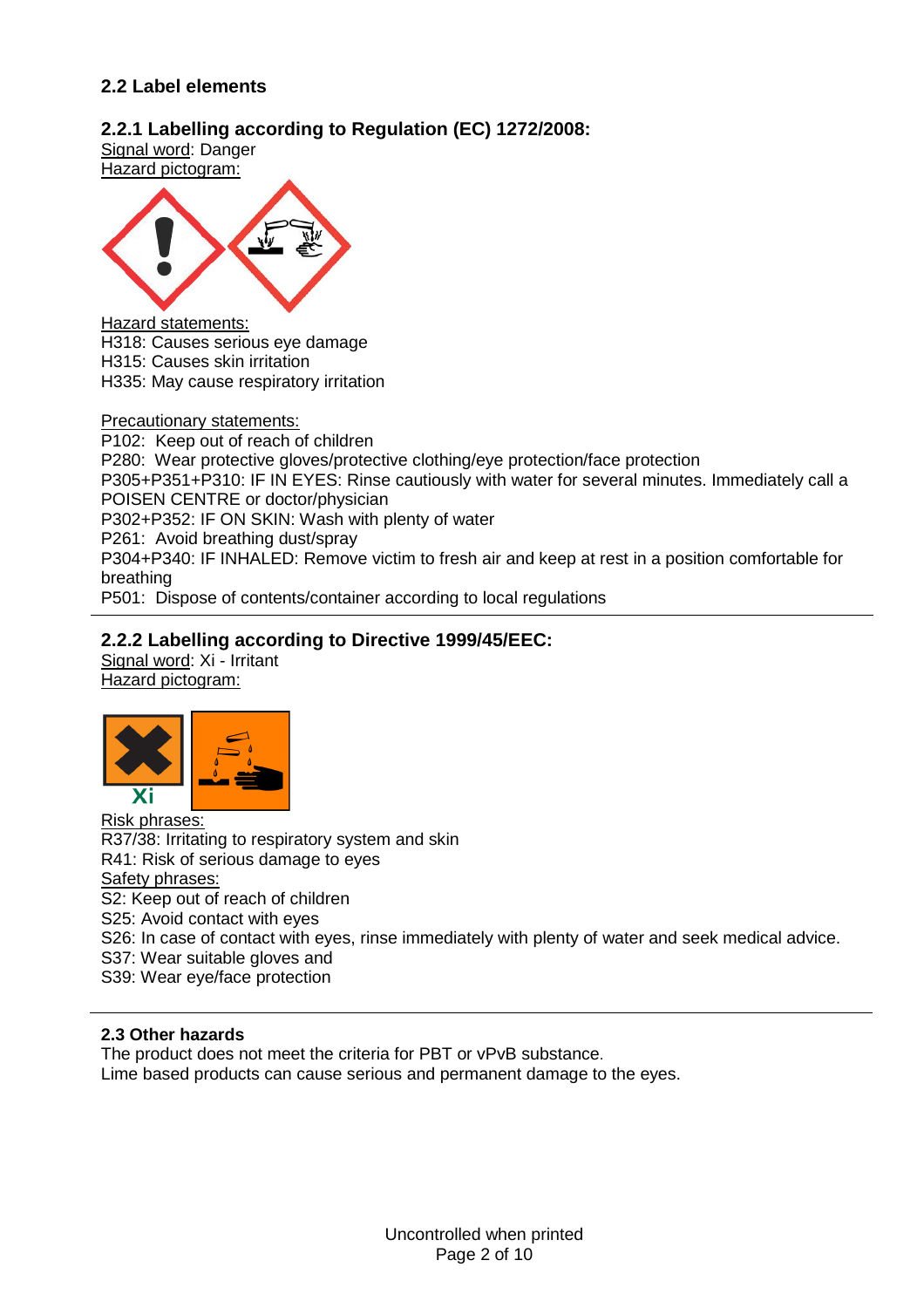## **2.2 Label elements**

## **2.2.1 Labelling according to Regulation (EC) 1272/2008:**

Signal word: Danger Hazard pictogram:



#### Hazard statements:

H318: Causes serious eye damage H315: Causes skin irritation H335: May cause respiratory irritation

#### Precautionary statements:

P102: Keep out of reach of children P280: Wear protective gloves/protective clothing/eye protection/face protection P305+P351+P310: IF IN EYES: Rinse cautiously with water for several minutes. Immediately call a POISEN CENTRE or doctor/physician P302+P352: IF ON SKIN: Wash with plenty of water P261: Avoid breathing dust/spray P304+P340: IF INHALED: Remove victim to fresh air and keep at rest in a position comfortable for breathing

#### P501: Dispose of contents/container according to local regulations

#### **2.2.2 Labelling according to Directive 1999/45/EEC:**

Signal word: Xi - Irritant Hazard pictogram:



Risk phrases: R37/38: Irritating to respiratory system and skin R41: Risk of serious damage to eyes Safety phrases: S2: Keep out of reach of children S25: Avoid contact with eyes S26: In case of contact with eyes, rinse immediately with plenty of water and seek medical advice. S37: Wear suitable gloves and S39: Wear eye/face protection

#### **2.3 Other hazards**

The product does not meet the criteria for PBT or vPvB substance.

Lime based products can cause serious and permanent damage to the eyes.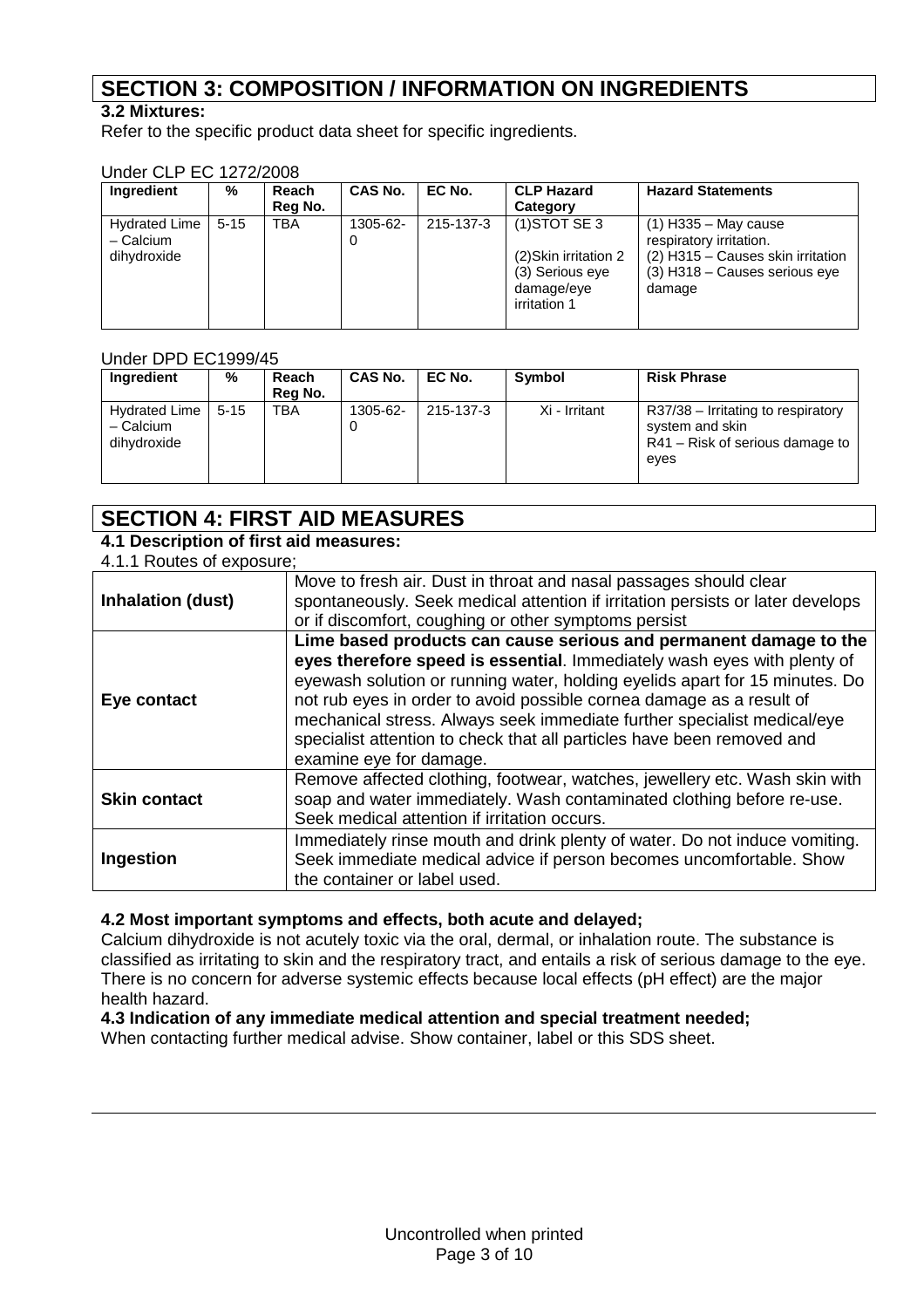# **SECTION 3: COMPOSITION / INFORMATION ON INGREDIENTS**

## **3.2 Mixtures:**

Refer to the specific product data sheet for specific ingredients.

#### Under CLP EC 1272/2008

| 8000 BE EVILLE                      |          |         |                |           |                                                                        |                                                                                |
|-------------------------------------|----------|---------|----------------|-----------|------------------------------------------------------------------------|--------------------------------------------------------------------------------|
| Ingredient                          | %        | Reach   | <b>CAS No.</b> | EC No.    | <b>CLP Hazard</b>                                                      | <b>Hazard Statements</b>                                                       |
|                                     |          | Reg No. |                |           | Category                                                               |                                                                                |
| <b>Hydrated Lime</b><br>$-$ Calcium | $5 - 15$ | TBA     | 1305-62-<br>0  | 215-137-3 | $(1)$ STOT SE 3                                                        | $(1)$ H335 – May cause<br>respiratory irritation.                              |
| dihydroxide                         |          |         |                |           | (2) Skin irritation 2<br>(3) Serious eye<br>damage/eye<br>irritation 1 | (2) H315 - Causes skin irritation<br>$(3)$ H318 – Causes serious eye<br>damage |

#### Under DPD EC1999/45

| Ingredient                                  | %        | Reach<br>Rea No. | <b>CAS No.</b> | EC No.    | <b>Symbol</b> | <b>Risk Phrase</b>                                                                               |
|---------------------------------------------|----------|------------------|----------------|-----------|---------------|--------------------------------------------------------------------------------------------------|
| Hydrated Lime<br>$-$ Calcium<br>dihydroxide | $5 - 15$ | <b>TBA</b>       | 1305-62-       | 215-137-3 | Xi - Irritant | R37/38 – Irritating to respiratory<br>system and skin<br>R41 – Risk of serious damage to<br>eves |

# **SECTION 4: FIRST AID MEASURES**

## **4.1 Description of first aid measures:**

#### 4.1.1 Routes of exposure;

| <b>Inhalation (dust)</b> | Move to fresh air. Dust in throat and nasal passages should clear<br>spontaneously. Seek medical attention if irritation persists or later develops<br>or if discomfort, coughing or other symptoms persist                                                                                                                                                                                                                                                                         |
|--------------------------|-------------------------------------------------------------------------------------------------------------------------------------------------------------------------------------------------------------------------------------------------------------------------------------------------------------------------------------------------------------------------------------------------------------------------------------------------------------------------------------|
| Eye contact              | Lime based products can cause serious and permanent damage to the<br>eyes therefore speed is essential. Immediately wash eyes with plenty of<br>eyewash solution or running water, holding eyelids apart for 15 minutes. Do<br>not rub eyes in order to avoid possible cornea damage as a result of<br>mechanical stress. Always seek immediate further specialist medical/eye<br>specialist attention to check that all particles have been removed and<br>examine eye for damage. |
| <b>Skin contact</b>      | Remove affected clothing, footwear, watches, jewellery etc. Wash skin with<br>soap and water immediately. Wash contaminated clothing before re-use.<br>Seek medical attention if irritation occurs.                                                                                                                                                                                                                                                                                 |
| Ingestion                | Immediately rinse mouth and drink plenty of water. Do not induce vomiting.<br>Seek immediate medical advice if person becomes uncomfortable. Show<br>the container or label used.                                                                                                                                                                                                                                                                                                   |

#### **4.2 Most important symptoms and effects, both acute and delayed;**

Calcium dihydroxide is not acutely toxic via the oral, dermal, or inhalation route. The substance is classified as irritating to skin and the respiratory tract, and entails a risk of serious damage to the eye. There is no concern for adverse systemic effects because local effects (pH effect) are the major health hazard.

#### **4.3 Indication of any immediate medical attention and special treatment needed;**

When contacting further medical advise. Show container, label or this SDS sheet.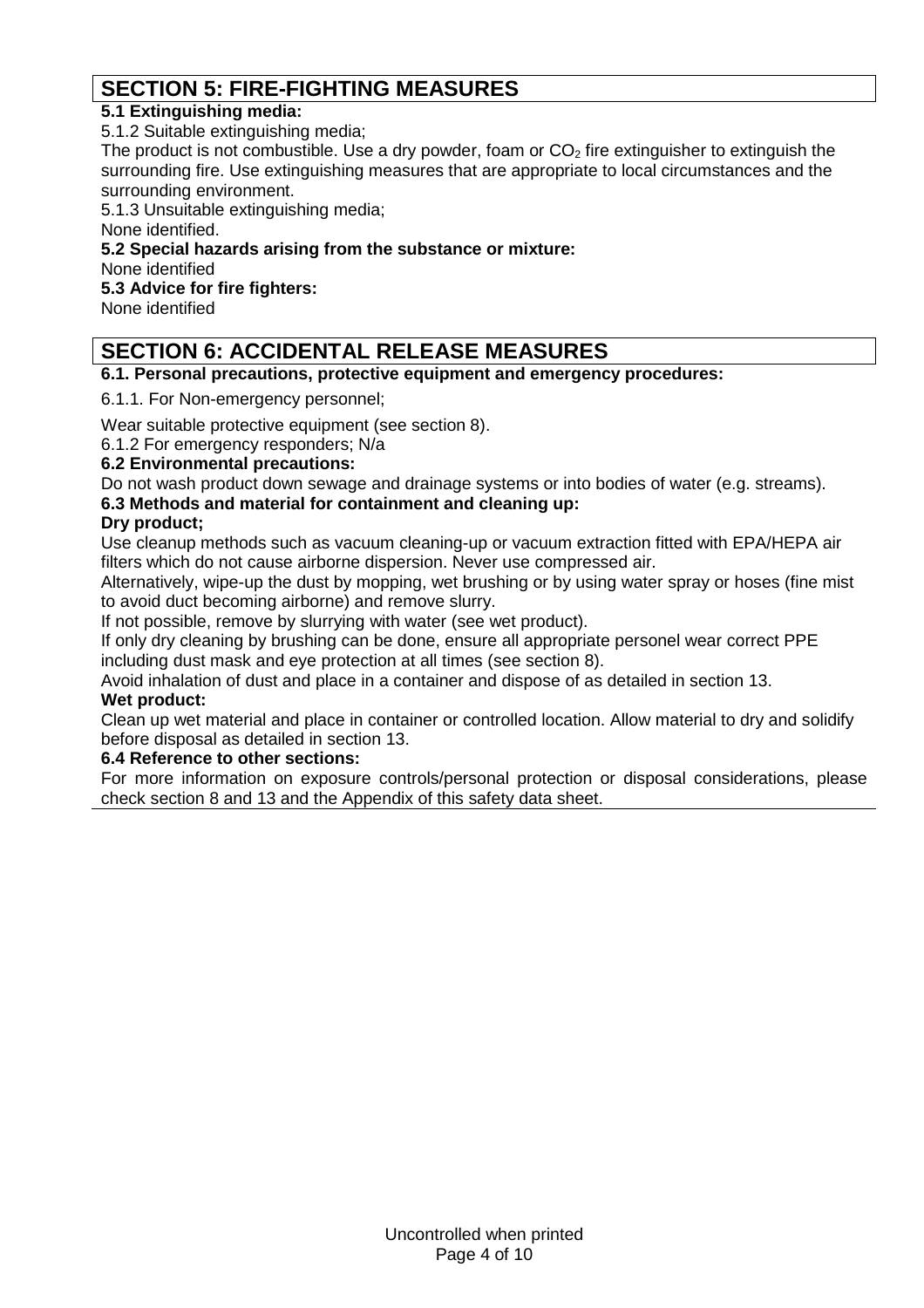# **SECTION 5: FIRE-FIGHTING MEASURES**

## **5.1 Extinguishing media:**

5.1.2 Suitable extinguishing media;

The product is not combustible. Use a dry powder, foam or  $CO<sub>2</sub>$  fire extinguisher to extinguish the surrounding fire. Use extinguishing measures that are appropriate to local circumstances and the surrounding environment.

5.1.3 Unsuitable extinguishing media;

None identified.

## **5.2 Special hazards arising from the substance or mixture:**

None identified

**5.3 Advice for fire fighters:**

None identified

# **SECTION 6: ACCIDENTAL RELEASE MEASURES**

**6.1. Personal precautions, protective equipment and emergency procedures:**

6.1.1. For Non-emergency personnel;

Wear suitable protective equipment (see section 8).

6.1.2 For emergency responders; N/a

#### **6.2 Environmental precautions:**

Do not wash product down sewage and drainage systems or into bodies of water (e.g. streams).

#### **6.3 Methods and material for containment and cleaning up:**

## **Dry product;**

Use cleanup methods such as vacuum cleaning-up or vacuum extraction fitted with EPA/HEPA air filters which do not cause airborne dispersion. Never use compressed air.

Alternatively, wipe-up the dust by mopping, wet brushing or by using water spray or hoses (fine mist to avoid duct becoming airborne) and remove slurry.

If not possible, remove by slurrying with water (see wet product).

If only dry cleaning by brushing can be done, ensure all appropriate personel wear correct PPE including dust mask and eye protection at all times (see section 8).

Avoid inhalation of dust and place in a container and dispose of as detailed in section 13.

### **Wet product:**

Clean up wet material and place in container or controlled location. Allow material to dry and solidify before disposal as detailed in section 13.

#### **6.4 Reference to other sections:**

For more information on exposure controls/personal protection or disposal considerations, please check section 8 and 13 and the Appendix of this safety data sheet.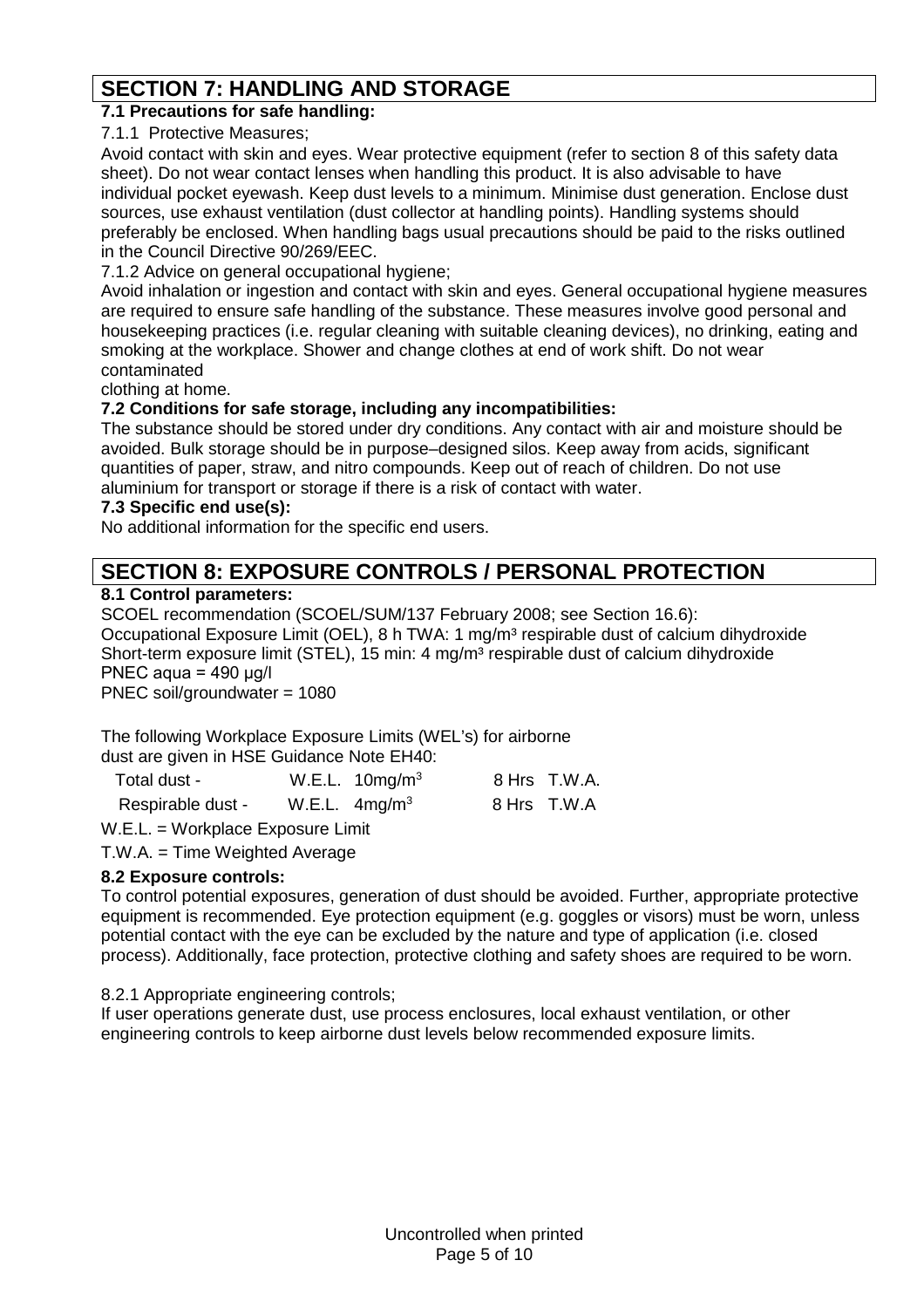# **SECTION 7: HANDLING AND STORAGE**

## **7.1 Precautions for safe handling:**

7.1.1 Protective Measures;

Avoid contact with skin and eyes. Wear protective equipment (refer to section 8 of this safety data sheet). Do not wear contact lenses when handling this product. It is also advisable to have individual pocket eyewash. Keep dust levels to a minimum. Minimise dust generation. Enclose dust sources, use exhaust ventilation (dust collector at handling points). Handling systems should preferably be enclosed. When handling bags usual precautions should be paid to the risks outlined in the Council Directive 90/269/EEC.

7.1.2 Advice on general occupational hygiene;

Avoid inhalation or ingestion and contact with skin and eyes. General occupational hygiene measures are required to ensure safe handling of the substance. These measures involve good personal and housekeeping practices (i.e. regular cleaning with suitable cleaning devices), no drinking, eating and smoking at the workplace. Shower and change clothes at end of work shift. Do not wear contaminated

clothing at home.

#### **7.2 Conditions for safe storage, including any incompatibilities:**

The substance should be stored under dry conditions. Any contact with air and moisture should be avoided. Bulk storage should be in purpose–designed silos. Keep away from acids, significant quantities of paper, straw, and nitro compounds. Keep out of reach of children. Do not use aluminium for transport or storage if there is a risk of contact with water.

#### **7.3 Specific end use(s):**

No additional information for the specific end users.

# **SECTION 8: EXPOSURE CONTROLS / PERSONAL PROTECTION**

#### **8.1 Control parameters:**

SCOEL recommendation (SCOEL/SUM/137 February 2008; see Section 16.6): Occupational Exposure Limit (OEL), 8 h TWA: 1 mg/m<sup>3</sup> respirable dust of calcium dihydroxide Short-term exposure limit (STEL), 15 min: 4 mg/m<sup>3</sup> respirable dust of calcium dihydroxide PNEC aqua = 490 μg/l PNEC soil/groundwater = 1080

The following Workplace Exposure Limits (WEL's) for airborne dust are given in HSF Guidance Note FH40.

| dust are given in HSE Guidance Note EH40. |                            |              |
|-------------------------------------------|----------------------------|--------------|
| Total dust -                              | W.E.L. $10\,\text{mg/m}^3$ | 8 Hrs T.W.A. |
| Respirable dust -                         | W.E.L. $4mg/m3$            | 8 Hrs T.W.A  |

W.E.L. = Workplace Exposure Limit

T.W.A. = Time Weighted Average

#### **8.2 Exposure controls:**

To control potential exposures, generation of dust should be avoided. Further, appropriate protective equipment is recommended. Eye protection equipment (e.g. goggles or visors) must be worn, unless potential contact with the eye can be excluded by the nature and type of application (i.e. closed process). Additionally, face protection, protective clothing and safety shoes are required to be worn.

8.2.1 Appropriate engineering controls;

If user operations generate dust, use process enclosures, local exhaust ventilation, or other engineering controls to keep airborne dust levels below recommended exposure limits.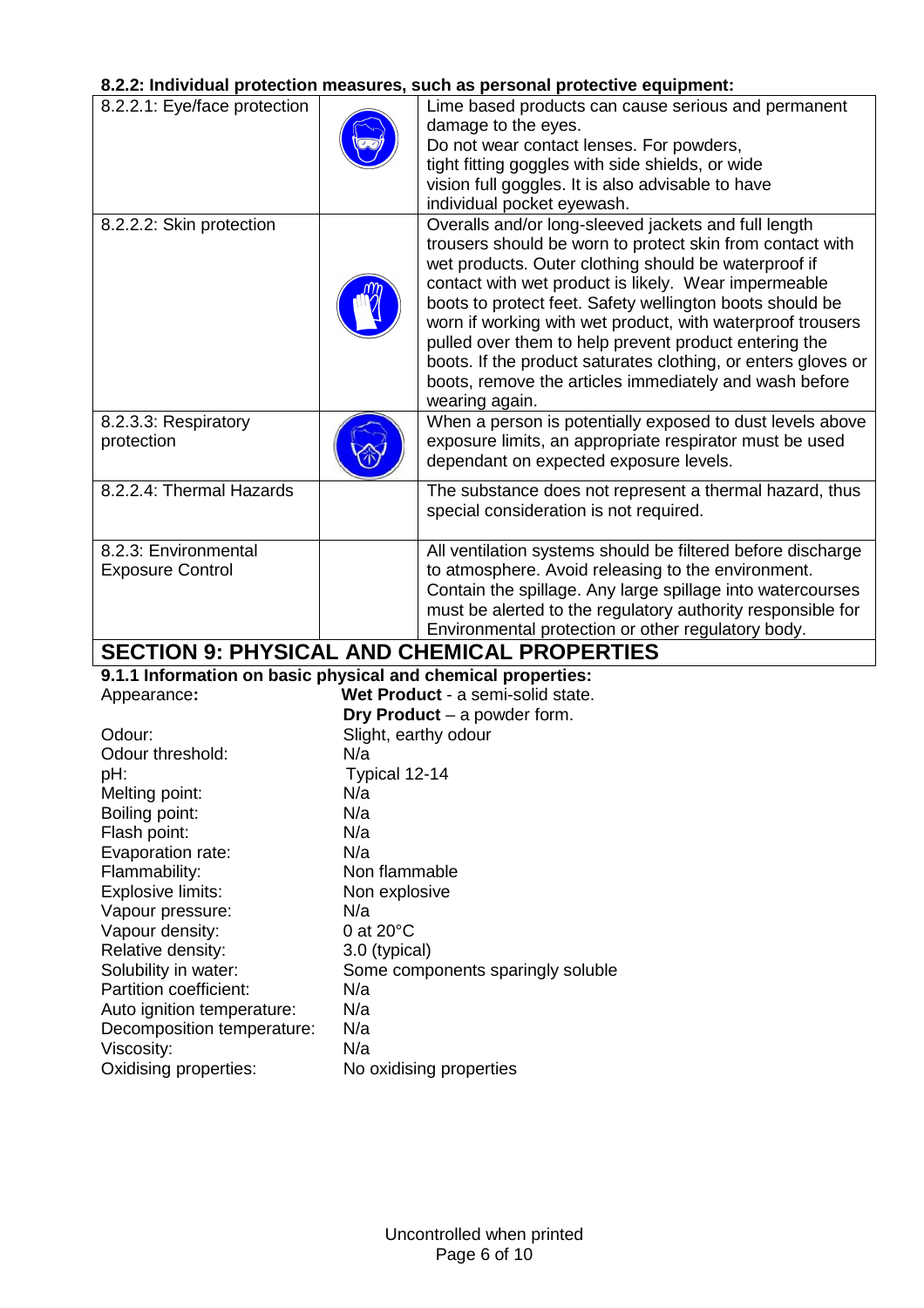# **8.2.2: Individual protection measures, such as personal protective equipment:**

|                                                              |                      | 0.2.2. Murviuudi protection measures, such as personal protective equipment. |
|--------------------------------------------------------------|----------------------|------------------------------------------------------------------------------|
| 8.2.2.1: Eye/face protection                                 |                      | Lime based products can cause serious and permanent                          |
|                                                              |                      | damage to the eyes.                                                          |
|                                                              |                      | Do not wear contact lenses. For powders,                                     |
|                                                              |                      | tight fitting goggles with side shields, or wide                             |
|                                                              |                      | vision full goggles. It is also advisable to have                            |
|                                                              |                      | individual pocket eyewash.                                                   |
| 8.2.2.2: Skin protection                                     |                      | Overalls and/or long-sleeved jackets and full length                         |
|                                                              |                      | trousers should be worn to protect skin from contact with                    |
|                                                              |                      | wet products. Outer clothing should be waterproof if                         |
|                                                              |                      | contact with wet product is likely. Wear impermeable                         |
|                                                              |                      | boots to protect feet. Safety wellington boots should be                     |
|                                                              |                      | worn if working with wet product, with waterproof trousers                   |
|                                                              |                      | pulled over them to help prevent product entering the                        |
|                                                              |                      | boots. If the product saturates clothing, or enters gloves or                |
|                                                              |                      | boots, remove the articles immediately and wash before                       |
|                                                              |                      | wearing again.                                                               |
| 8.2.3.3: Respiratory                                         |                      | When a person is potentially exposed to dust levels above                    |
| protection                                                   |                      | exposure limits, an appropriate respirator must be used                      |
|                                                              |                      | dependant on expected exposure levels.                                       |
| 8.2.2.4: Thermal Hazards                                     |                      | The substance does not represent a thermal hazard, thus                      |
|                                                              |                      | special consideration is not required.                                       |
|                                                              |                      |                                                                              |
| 8.2.3: Environmental                                         |                      | All ventilation systems should be filtered before discharge                  |
| <b>Exposure Control</b>                                      |                      | to atmosphere. Avoid releasing to the environment.                           |
|                                                              |                      | Contain the spillage. Any large spillage into watercourses                   |
|                                                              |                      | must be alerted to the regulatory authority responsible for                  |
|                                                              |                      | Environmental protection or other regulatory body.                           |
|                                                              |                      | <b>SECTION 9: PHYSICAL AND CHEMICAL PROPERTIES</b>                           |
| 9.1.1 Information on basic physical and chemical properties: |                      |                                                                              |
| Appearance:                                                  |                      | Wet Product - a semi-solid state.                                            |
|                                                              |                      | Dry Product $-$ a powder form.                                               |
| Odour:                                                       | Slight, earthy odour |                                                                              |
| Odour threshold:                                             | N/a                  |                                                                              |
| pH:                                                          | Typical 12-14        |                                                                              |
| Melting point:                                               | N/a                  |                                                                              |
| Boiling point:                                               | N/a                  |                                                                              |
| Flash point:                                                 | N/a                  |                                                                              |
| Evaporation rate:                                            | N/a                  |                                                                              |
| Flammability:                                                | Non flammable        |                                                                              |
| Explosive limits:                                            | Non explosive        |                                                                              |
| Vapour pressure:                                             | N/a                  |                                                                              |
| Vapour density:                                              | 0 at 20°C            |                                                                              |
| Relative density:                                            | 3.0 (typical)        |                                                                              |
| Solubility in water:                                         |                      | Some components sparingly soluble                                            |
| Partition coefficient:                                       | N/a                  |                                                                              |
| Auto ignition temperature:                                   | N/a                  |                                                                              |
| Decomposition temperature:                                   | N/a                  |                                                                              |
| Viscosity:                                                   | N/a                  |                                                                              |

Oxidising properties: No oxidising properties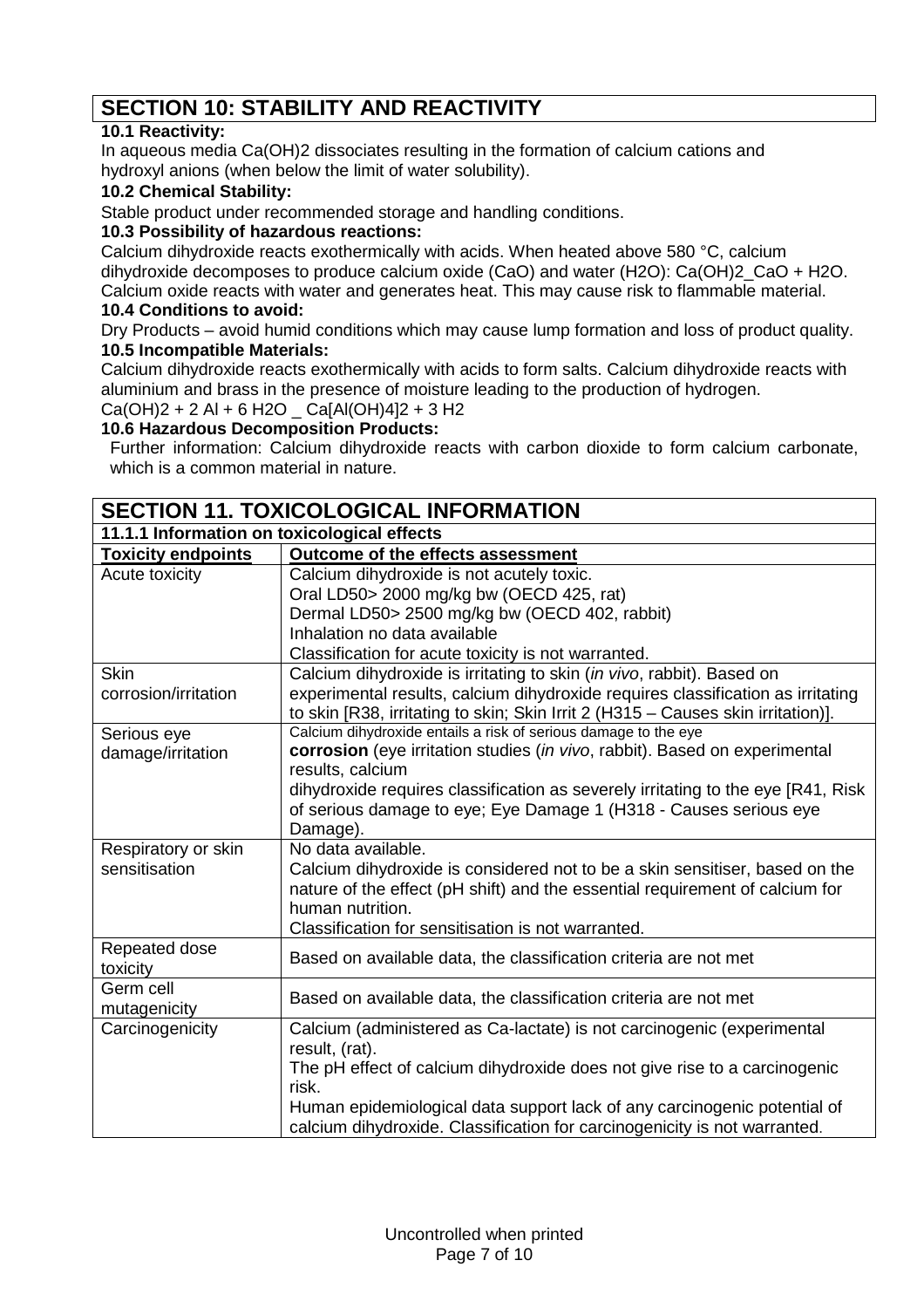# **SECTION 10: STABILITY AND REACTIVITY**

## **10.1 Reactivity:**

In aqueous media Ca(OH)2 dissociates resulting in the formation of calcium cations and hydroxyl anions (when below the limit of water solubility).

## **10.2 Chemical Stability:**

Stable product under recommended storage and handling conditions.

#### **10.3 Possibility of hazardous reactions:**

Calcium dihydroxide reacts exothermically with acids. When heated above 580 °C, calcium dihydroxide decomposes to produce calcium oxide (CaO) and water (H2O): Ca(OH)2\_CaO + H2O. Calcium oxide reacts with water and generates heat. This may cause risk to flammable material.

#### **10.4 Conditions to avoid:**

Dry Products – avoid humid conditions which may cause lump formation and loss of product quality. **10.5 Incompatible Materials:**

Calcium dihydroxide reacts exothermically with acids to form salts. Calcium dihydroxide reacts with aluminium and brass in the presence of moisture leading to the production of hydrogen.  $Ca(OH)2 + 2 Al + 6 H2O$   $Ca[Al(OH)4]2 + 3 H2$ 

### **10.6 Hazardous Decomposition Products:**

Further information: Calcium dihydroxide reacts with carbon dioxide to form calcium carbonate, which is a common material in nature.

| <b>SECTION 11. TOXICOLOGICAL INFORMATION</b> |                                                                                    |  |  |
|----------------------------------------------|------------------------------------------------------------------------------------|--|--|
| 11.1.1 Information on toxicological effects  |                                                                                    |  |  |
| <b>Toxicity endpoints</b>                    | Outcome of the effects assessment                                                  |  |  |
| Acute toxicity                               | Calcium dihydroxide is not acutely toxic.                                          |  |  |
|                                              | Oral LD50> 2000 mg/kg bw (OECD 425, rat)                                           |  |  |
|                                              | Dermal LD50> 2500 mg/kg bw (OECD 402, rabbit)                                      |  |  |
|                                              | Inhalation no data available                                                       |  |  |
|                                              | Classification for acute toxicity is not warranted.                                |  |  |
| <b>Skin</b>                                  | Calcium dihydroxide is irritating to skin (in vivo, rabbit). Based on              |  |  |
| corrosion/irritation                         | experimental results, calcium dihydroxide requires classification as irritating    |  |  |
|                                              | to skin [R38, irritating to skin; Skin Irrit 2 (H315 - Causes skin irritation)].   |  |  |
| Serious eye                                  | Calcium dihydroxide entails a risk of serious damage to the eye                    |  |  |
| damage/irritation                            | corrosion (eye irritation studies (in vivo, rabbit). Based on experimental         |  |  |
|                                              | results, calcium                                                                   |  |  |
|                                              | dihydroxide requires classification as severely irritating to the eye [R41, Risk]  |  |  |
|                                              | of serious damage to eye; Eye Damage 1 (H318 - Causes serious eye                  |  |  |
|                                              | Damage).                                                                           |  |  |
| Respiratory or skin                          | No data available.                                                                 |  |  |
| sensitisation                                | Calcium dihydroxide is considered not to be a skin sensitiser, based on the        |  |  |
|                                              | nature of the effect (pH shift) and the essential requirement of calcium for       |  |  |
|                                              | human nutrition.                                                                   |  |  |
|                                              | Classification for sensitisation is not warranted.                                 |  |  |
| Repeated dose                                | Based on available data, the classification criteria are not met                   |  |  |
| toxicity<br>Germ cell                        |                                                                                    |  |  |
|                                              | Based on available data, the classification criteria are not met                   |  |  |
| mutagenicity<br>Carcinogenicity              | Calcium (administered as Ca-lactate) is not carcinogenic (experimental             |  |  |
|                                              | result, (rat).                                                                     |  |  |
|                                              |                                                                                    |  |  |
|                                              | The pH effect of calcium dihydroxide does not give rise to a carcinogenic<br>risk. |  |  |
|                                              | Human epidemiological data support lack of any carcinogenic potential of           |  |  |
|                                              | calcium dihydroxide. Classification for carcinogenicity is not warranted.          |  |  |
|                                              |                                                                                    |  |  |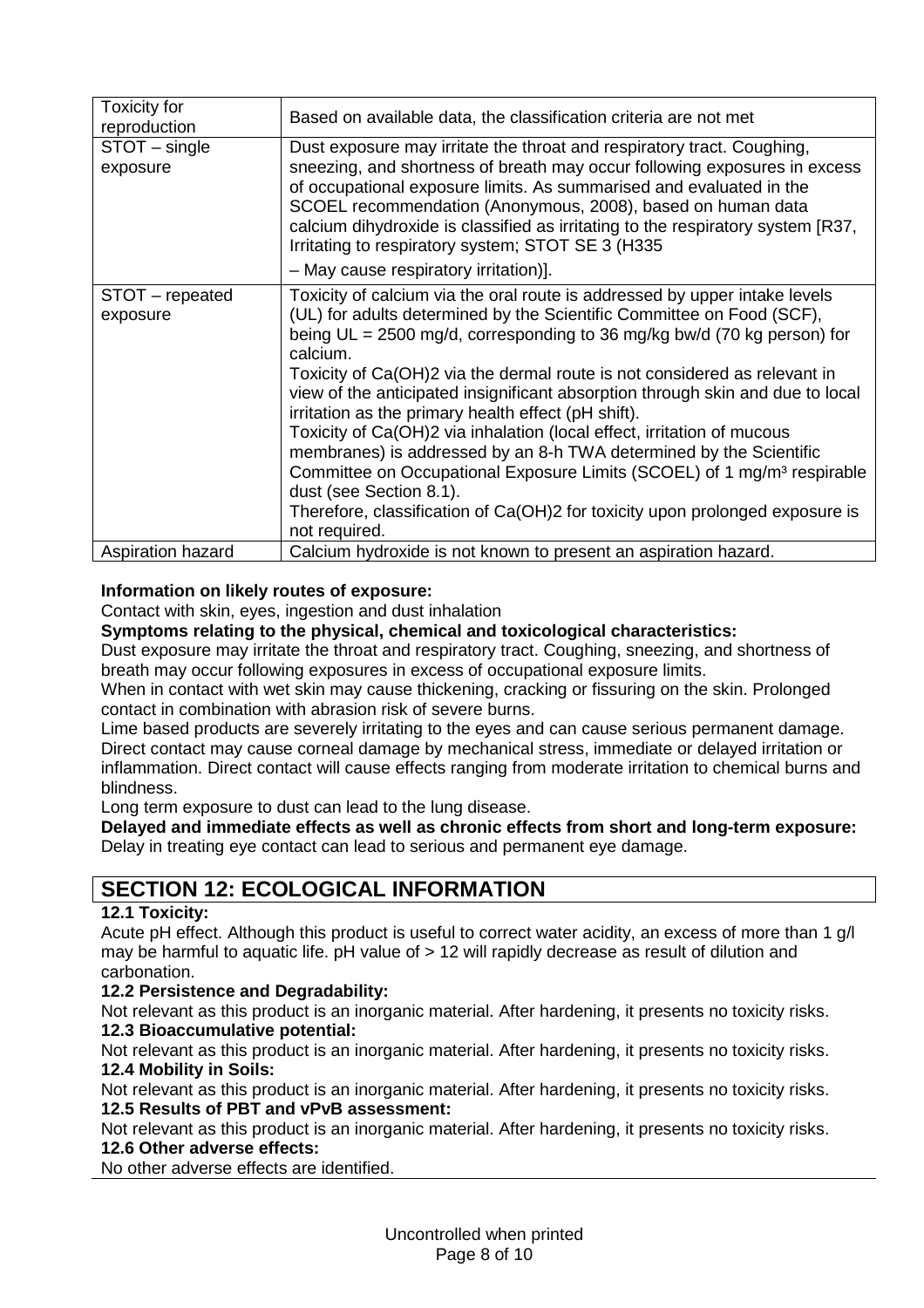| <b>Toxicity for</b><br>reproduction | Based on available data, the classification criteria are not met                                                                                                                                                                                                                                                                                                                                                                                                                                                                                                                                                                                                                                                                                                                                                                      |
|-------------------------------------|---------------------------------------------------------------------------------------------------------------------------------------------------------------------------------------------------------------------------------------------------------------------------------------------------------------------------------------------------------------------------------------------------------------------------------------------------------------------------------------------------------------------------------------------------------------------------------------------------------------------------------------------------------------------------------------------------------------------------------------------------------------------------------------------------------------------------------------|
| STOT - single<br>exposure           | Dust exposure may irritate the throat and respiratory tract. Coughing,<br>sneezing, and shortness of breath may occur following exposures in excess<br>of occupational exposure limits. As summarised and evaluated in the<br>SCOEL recommendation (Anonymous, 2008), based on human data<br>calcium dihydroxide is classified as irritating to the respiratory system [R37,<br>Irritating to respiratory system; STOT SE 3 (H335)                                                                                                                                                                                                                                                                                                                                                                                                    |
|                                     | - May cause respiratory irritation)].                                                                                                                                                                                                                                                                                                                                                                                                                                                                                                                                                                                                                                                                                                                                                                                                 |
| STOT - repeated<br>exposure         | Toxicity of calcium via the oral route is addressed by upper intake levels<br>(UL) for adults determined by the Scientific Committee on Food (SCF),<br>being $UL = 2500$ mg/d, corresponding to 36 mg/kg bw/d (70 kg person) for<br>calcium.<br>Toxicity of Ca(OH)2 via the dermal route is not considered as relevant in<br>view of the anticipated insignificant absorption through skin and due to local<br>irritation as the primary health effect (pH shift).<br>Toxicity of Ca(OH)2 via inhalation (local effect, irritation of mucous<br>membranes) is addressed by an 8-h TWA determined by the Scientific<br>Committee on Occupational Exposure Limits (SCOEL) of 1 mg/m <sup>3</sup> respirable<br>dust (see Section 8.1).<br>Therefore, classification of Ca(OH)2 for toxicity upon prolonged exposure is<br>not required. |
| Aspiration hazard                   | Calcium hydroxide is not known to present an aspiration hazard.                                                                                                                                                                                                                                                                                                                                                                                                                                                                                                                                                                                                                                                                                                                                                                       |

#### **Information on likely routes of exposure:**

Contact with skin, eyes, ingestion and dust inhalation

**Symptoms relating to the physical, chemical and toxicological characteristics:**

Dust exposure may irritate the throat and respiratory tract. Coughing, sneezing, and shortness of breath may occur following exposures in excess of occupational exposure limits.

When in contact with wet skin may cause thickening, cracking or fissuring on the skin. Prolonged contact in combination with abrasion risk of severe burns.

Lime based products are severely irritating to the eyes and can cause serious permanent damage. Direct contact may cause corneal damage by mechanical stress, immediate or delayed irritation or inflammation. Direct contact will cause effects ranging from moderate irritation to chemical burns and blindness.

Long term exposure to dust can lead to the lung disease.

**Delayed and immediate effects as well as chronic effects from short and long-term exposure:** Delay in treating eye contact can lead to serious and permanent eye damage.

# **SECTION 12: ECOLOGICAL INFORMATION**

#### **12.1 Toxicity:**

Acute pH effect. Although this product is useful to correct water acidity, an excess of more than 1 g/l may be harmful to aquatic life. pH value of > 12 will rapidly decrease as result of dilution and carbonation.

#### **12.2 Persistence and Degradability:**

Not relevant as this product is an inorganic material. After hardening, it presents no toxicity risks. **12.3 Bioaccumulative potential:**

Not relevant as this product is an inorganic material. After hardening, it presents no toxicity risks. **12.4 Mobility in Soils:**

Not relevant as this product is an inorganic material. After hardening, it presents no toxicity risks. **12.5 Results of PBT and vPvB assessment:**

Not relevant as this product is an inorganic material. After hardening, it presents no toxicity risks. **12.6 Other adverse effects:**

No other adverse effects are identified.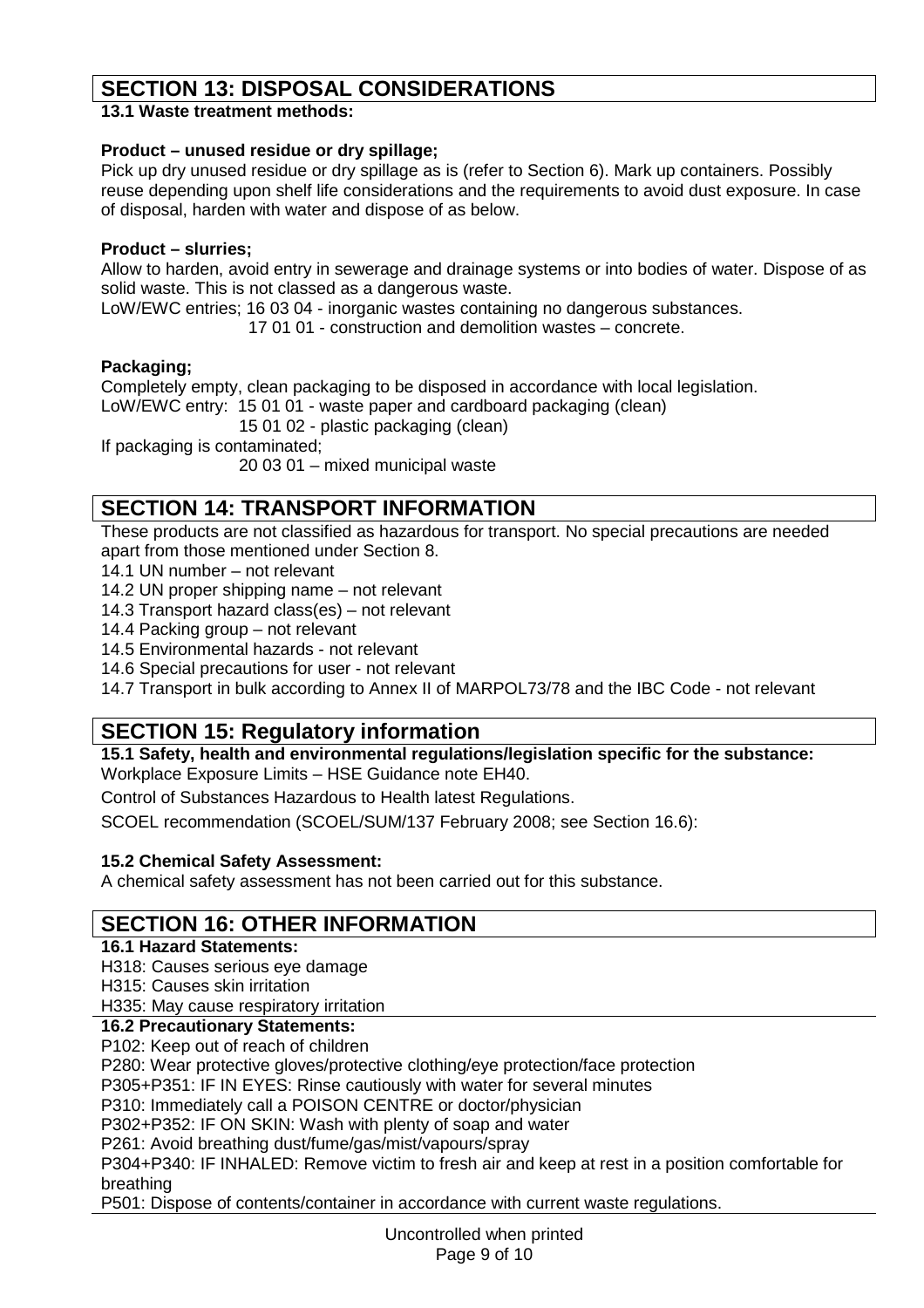# **SECTION 13: DISPOSAL CONSIDERATIONS**

**13.1 Waste treatment methods:**

#### **Product – unused residue or dry spillage;**

Pick up dry unused residue or dry spillage as is (refer to Section 6). Mark up containers. Possibly reuse depending upon shelf life considerations and the requirements to avoid dust exposure. In case of disposal, harden with water and dispose of as below.

#### **Product – slurries;**

Allow to harden, avoid entry in sewerage and drainage systems or into bodies of water. Dispose of as solid waste. This is not classed as a dangerous waste.

LoW/EWC entries; 16 03 04 - inorganic wastes containing no dangerous substances.

17 01 01 - construction and demolition wastes – concrete.

#### **Packaging;**

Completely empty, clean packaging to be disposed in accordance with local legislation.

LoW/EWC entry: 15 01 01 - waste paper and cardboard packaging (clean)

15 01 02 - plastic packaging (clean)

If packaging is contaminated;

20 03 01 – mixed municipal waste

# **SECTION 14: TRANSPORT INFORMATION**

These products are not classified as hazardous for transport. No special precautions are needed apart from those mentioned under Section 8.

14.1 UN number – not relevant

14.2 UN proper shipping name – not relevant

14.3 Transport hazard class(es) – not relevant

14.4 Packing group – not relevant

14.5 Environmental hazards - not relevant

14.6 Special precautions for user - not relevant

14.7 Transport in bulk according to Annex II of MARPOL73/78 and the IBC Code - not relevant

# **SECTION 15: Regulatory information**

**15.1 Safety, health and environmental regulations/legislation specific for the substance:** Workplace Exposure Limits – HSE Guidance note EH40.

Control of Substances Hazardous to Health latest Regulations.

SCOEL recommendation (SCOEL/SUM/137 February 2008; see Section 16.6):

#### **15.2 Chemical Safety Assessment:**

A chemical safety assessment has not been carried out for this substance.

# **SECTION 16: OTHER INFORMATION**

**16.1 Hazard Statements:**

H318: Causes serious eye damage

H315: Causes skin irritation

H335: May cause respiratory irritation

**16.2 Precautionary Statements:**

P102: Keep out of reach of children

P280: Wear protective gloves/protective clothing/eye protection/face protection

P305+P351: IF IN EYES: Rinse cautiously with water for several minutes

P310: Immediately call a POISON CENTRE or doctor/physician

P302+P352: IF ON SKIN: Wash with plenty of soap and water

P261: Avoid breathing dust/fume/gas/mist/vapours/spray

P304+P340: IF INHALED: Remove victim to fresh air and keep at rest in a position comfortable for breathing

P501: Dispose of contents/container in accordance with current waste regulations.

Uncontrolled when printed Page 9 of 10